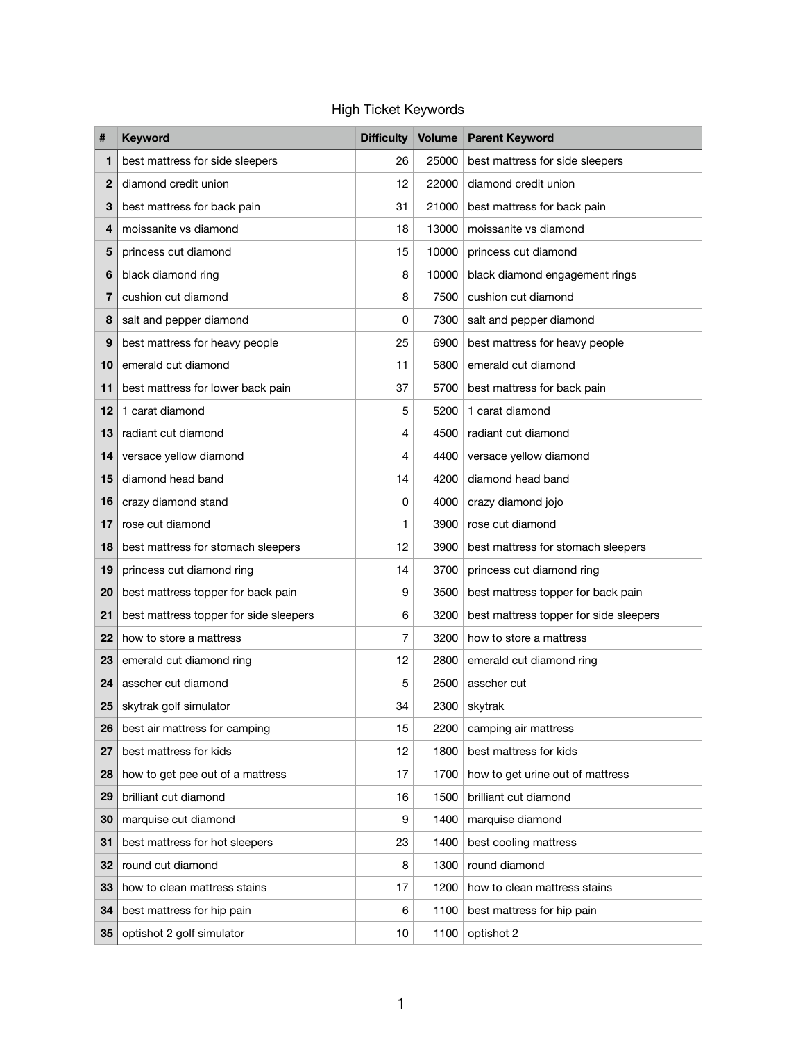## High Ticket Keywords

| #               | <b>Keyword</b>                         |    |       | Difficulty Volume Parent Keyword       |
|-----------------|----------------------------------------|----|-------|----------------------------------------|
| 1               | best mattress for side sleepers        | 26 | 25000 | best mattress for side sleepers        |
| $\mathbf{2}$    | diamond credit union                   | 12 | 22000 | diamond credit union                   |
| 3               | best mattress for back pain            | 31 | 21000 | best mattress for back pain            |
| 4               | moissanite vs diamond                  | 18 | 13000 | moissanite vs diamond                  |
| 5               | princess cut diamond                   | 15 | 10000 | princess cut diamond                   |
| 6               | black diamond ring                     | 8  | 10000 | black diamond engagement rings         |
| 7               | cushion cut diamond                    | 8  | 7500  | cushion cut diamond                    |
| 8               | salt and pepper diamond                | 0  | 7300  | salt and pepper diamond                |
| 9               | best mattress for heavy people         | 25 | 6900  | best mattress for heavy people         |
| 10              | emerald cut diamond                    | 11 | 5800  | emerald cut diamond                    |
| 11              | best mattress for lower back pain      | 37 | 5700  | best mattress for back pain            |
| 12              | 1 carat diamond                        | 5  | 5200  | 1 carat diamond                        |
| 13              | radiant cut diamond                    | 4  | 4500  | radiant cut diamond                    |
| 14              | versace yellow diamond                 | 4  | 4400  | versace yellow diamond                 |
| 15              | diamond head band                      | 14 | 4200  | diamond head band                      |
| 16              | crazy diamond stand                    | 0  | 4000  | crazy diamond jojo                     |
| 17              | rose cut diamond                       | 1  | 3900  | rose cut diamond                       |
| 18              | best mattress for stomach sleepers     | 12 | 3900  | best mattress for stomach sleepers     |
| 19              | princess cut diamond ring              | 14 | 3700  | princess cut diamond ring              |
| 20              | best mattress topper for back pain     | 9  | 3500  | best mattress topper for back pain     |
| 21              | best mattress topper for side sleepers | 6  | 3200  | best mattress topper for side sleepers |
| 22              | how to store a mattress                | 7  | 3200  | how to store a mattress                |
| 23              | emerald cut diamond ring               | 12 | 2800  | emerald cut diamond ring               |
| 24              | asscher cut diamond                    | 5  | 2500  | asscher cut                            |
| 25              | skytrak golf simulator                 | 34 | 2300  | skytrak                                |
| 26              | best air mattress for camping          | 15 | 2200  | camping air mattress                   |
| 27              | best mattress for kids                 | 12 | 1800  | best mattress for kids                 |
| 28              | how to get pee out of a mattress       | 17 | 1700  | how to get urine out of mattress       |
| 29              | brilliant cut diamond                  | 16 | 1500  | brilliant cut diamond                  |
| 30              | marquise cut diamond                   | 9  | 1400  | marquise diamond                       |
| 31              | best mattress for hot sleepers         | 23 | 1400  | best cooling mattress                  |
| 32              | round cut diamond                      | 8  | 1300  | round diamond                          |
| 33              | how to clean mattress stains           | 17 | 1200  | how to clean mattress stains           |
| 34              | best mattress for hip pain             | 6  | 1100  | best mattress for hip pain             |
| 35 <sub>5</sub> | optishot 2 golf simulator              | 10 | 1100  | optishot 2                             |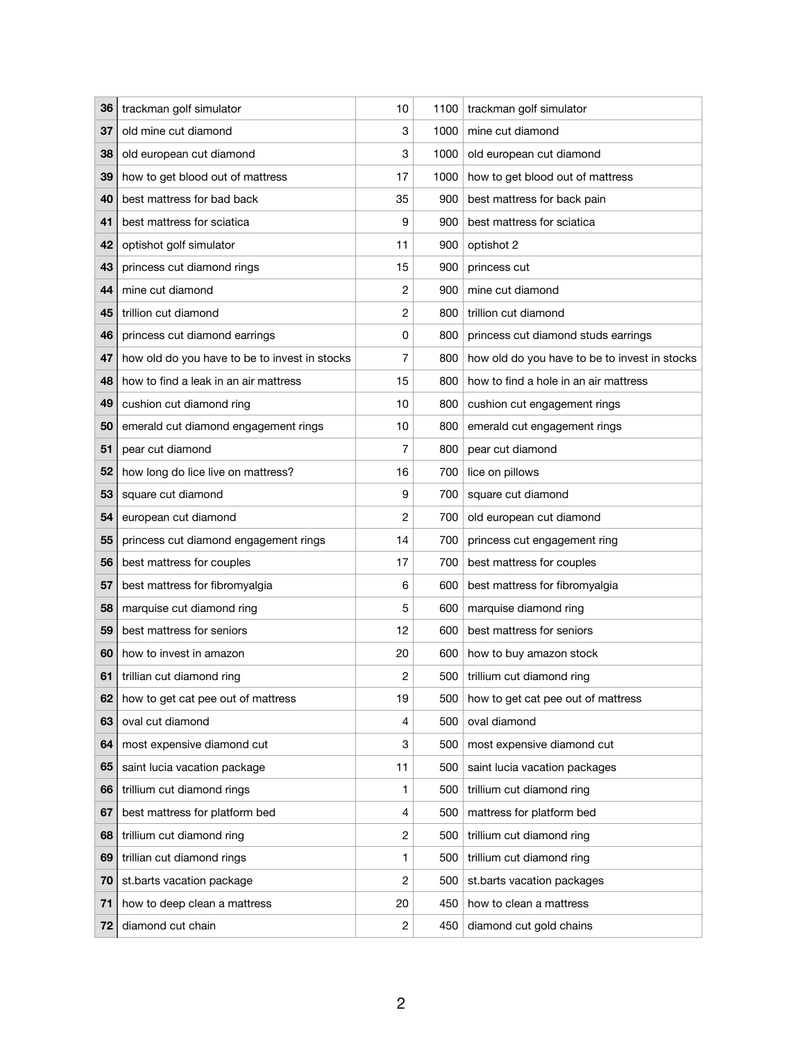| 36 | trackman golf simulator                       | 10             | 1100 | trackman golf simulator                       |
|----|-----------------------------------------------|----------------|------|-----------------------------------------------|
| 37 | old mine cut diamond                          | 3              | 1000 | mine cut diamond                              |
| 38 | old european cut diamond                      | 3              | 1000 | old european cut diamond                      |
| 39 | how to get blood out of mattress              | 17             | 1000 | how to get blood out of mattress              |
| 40 | best mattress for bad back                    | 35             | 900  | best mattress for back pain                   |
| 41 | best mattress for sciatica                    | 9              | 900  | best mattress for sciatica                    |
| 42 | optishot golf simulator                       | 11             | 900  | optishot 2                                    |
| 43 | princess cut diamond rings                    | 15             | 900  | princess cut                                  |
| 44 | mine cut diamond                              | $\overline{c}$ | 900  | mine cut diamond                              |
| 45 | trillion cut diamond                          | $\overline{c}$ | 800  | trillion cut diamond                          |
| 46 | princess cut diamond earrings                 | 0              | 800  | princess cut diamond studs earrings           |
| 47 | how old do you have to be to invest in stocks | 7              | 800  | how old do you have to be to invest in stocks |
| 48 | how to find a leak in an air mattress         | 15             | 800  | how to find a hole in an air mattress         |
| 49 | cushion cut diamond ring                      | 10             | 800  | cushion cut engagement rings                  |
| 50 | emerald cut diamond engagement rings          | 10             | 800  | emerald cut engagement rings                  |
| 51 | pear cut diamond                              | 7              | 800  | pear cut diamond                              |
| 52 | how long do lice live on mattress?            | 16             | 700  | lice on pillows                               |
| 53 | square cut diamond                            | 9              | 700  | square cut diamond                            |
| 54 | european cut diamond                          | 2              | 700  | old european cut diamond                      |
| 55 | princess cut diamond engagement rings         | 14             | 700  | princess cut engagement ring                  |
| 56 | best mattress for couples                     | 17             | 700  | best mattress for couples                     |
| 57 | best mattress for fibromyalgia                | 6              | 600  | best mattress for fibromyalgia                |
| Ⴢ୪ | marquise cut diamond ring                     | 5              | 600  | marquise diamond ring                         |
| 59 | best mattress for seniors                     | 12             | 600  | best mattress for seniors                     |
| 60 | how to invest in amazon                       | 20             | 600  | how to buy amazon stock                       |
| 61 | trillian cut diamond ring                     | 2              | 500  | trillium cut diamond ring                     |
| 62 | how to get cat pee out of mattress            | 19             | 500  | how to get cat pee out of mattress            |
| 63 | oval cut diamond                              | 4              | 500  | oval diamond                                  |
| 64 | most expensive diamond cut                    | 3              | 500  | most expensive diamond cut                    |
| 65 | saint lucia vacation package                  | 11             | 500  | saint lucia vacation packages                 |
| 66 | trillium cut diamond rings                    | 1              | 500  | trillium cut diamond ring                     |
| 67 | best mattress for platform bed                | 4              | 500  | mattress for platform bed                     |
| 68 | trillium cut diamond ring                     | $\overline{c}$ | 500  | trillium cut diamond ring                     |
| 69 | trillian cut diamond rings                    | 1              | 500  | trillium cut diamond ring                     |
| 70 | st.barts vacation package                     | 2              | 500  | st.barts vacation packages                    |
| 71 | how to deep clean a mattress                  | 20             | 450  | how to clean a mattress                       |
| 72 | diamond cut chain                             | 2              | 450  | diamond cut gold chains                       |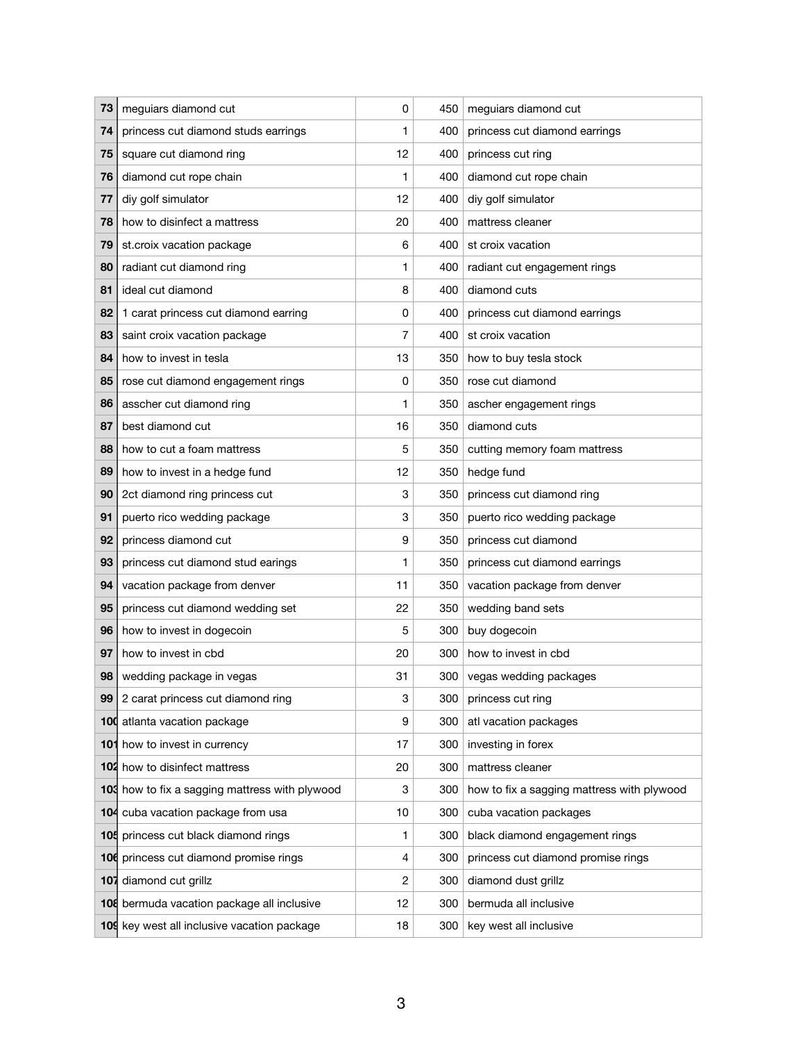| 73 | meguiars diamond cut                           | 0  | 450 | meguiars diamond cut                       |
|----|------------------------------------------------|----|-----|--------------------------------------------|
| 74 | princess cut diamond studs earrings            | 1  | 400 | princess cut diamond earrings              |
| 75 | square cut diamond ring                        | 12 | 400 | princess cut ring                          |
| 76 | diamond cut rope chain                         | 1  | 400 | diamond cut rope chain                     |
| 77 | diy golf simulator                             | 12 | 400 | diy golf simulator                         |
| 78 | how to disinfect a mattress                    | 20 | 400 | mattress cleaner                           |
| 79 | st.croix vacation package                      | 6  | 400 | st croix vacation                          |
| 80 | radiant cut diamond ring                       | 1  | 400 | radiant cut engagement rings               |
| 81 | ideal cut diamond                              | 8  | 400 | diamond cuts                               |
| 82 | 1 carat princess cut diamond earring           | 0  | 400 | princess cut diamond earrings              |
| 83 | saint croix vacation package                   | 7  | 400 | st croix vacation                          |
| 84 | how to invest in tesla                         | 13 | 350 | how to buy tesla stock                     |
| 85 | rose cut diamond engagement rings              | 0  | 350 | rose cut diamond                           |
| 86 | asscher cut diamond ring                       | 1  | 350 | ascher engagement rings                    |
| 87 | best diamond cut                               | 16 | 350 | diamond cuts                               |
| 88 | how to cut a foam mattress                     | 5  | 350 | cutting memory foam mattress               |
| 89 | how to invest in a hedge fund                  | 12 | 350 | hedge fund                                 |
| 90 | 2ct diamond ring princess cut                  | 3  | 350 | princess cut diamond ring                  |
| 91 | puerto rico wedding package                    | 3  | 350 | puerto rico wedding package                |
| 92 | princess diamond cut                           | 9  | 350 | princess cut diamond                       |
| 93 | princess cut diamond stud earings              | 1  | 350 | princess cut diamond earrings              |
| 94 | vacation package from denver                   | 11 | 350 | vacation package from denver               |
| 95 | princess cut diamond wedding set               | 22 | 350 | wedding band sets                          |
| 96 | how to invest in dogecoin                      | 5  | 300 | buy dogecoin                               |
| 97 | how to invest in cbd                           | 20 | 300 | how to invest in cbd                       |
| 98 | wedding package in vegas                       | 31 | 300 | vegas wedding packages                     |
| 99 | 2 carat princess cut diamond ring              | 3  | 300 | princess cut ring                          |
|    | 100 atlanta vacation package                   | 9  | 300 | atl vacation packages                      |
|    | 101 how to invest in currency                  | 17 | 300 | investing in forex                         |
|    | <b>102</b> how to disinfect mattress           | 20 | 300 | mattress cleaner                           |
|    | 103 how to fix a sagging mattress with plywood | 3  | 300 | how to fix a sagging mattress with plywood |
|    | 104 cuba vacation package from usa             | 10 | 300 | cuba vacation packages                     |
|    | 105 princess cut black diamond rings           | 1  | 300 | black diamond engagement rings             |
|    | 106 princess cut diamond promise rings         | 4  | 300 | princess cut diamond promise rings         |
|    | 107 diamond cut grillz                         | 2  | 300 | diamond dust grillz                        |
|    | 108 bermuda vacation package all inclusive     | 12 | 300 | bermuda all inclusive                      |
|    | 109 key west all inclusive vacation package    | 18 | 300 | key west all inclusive                     |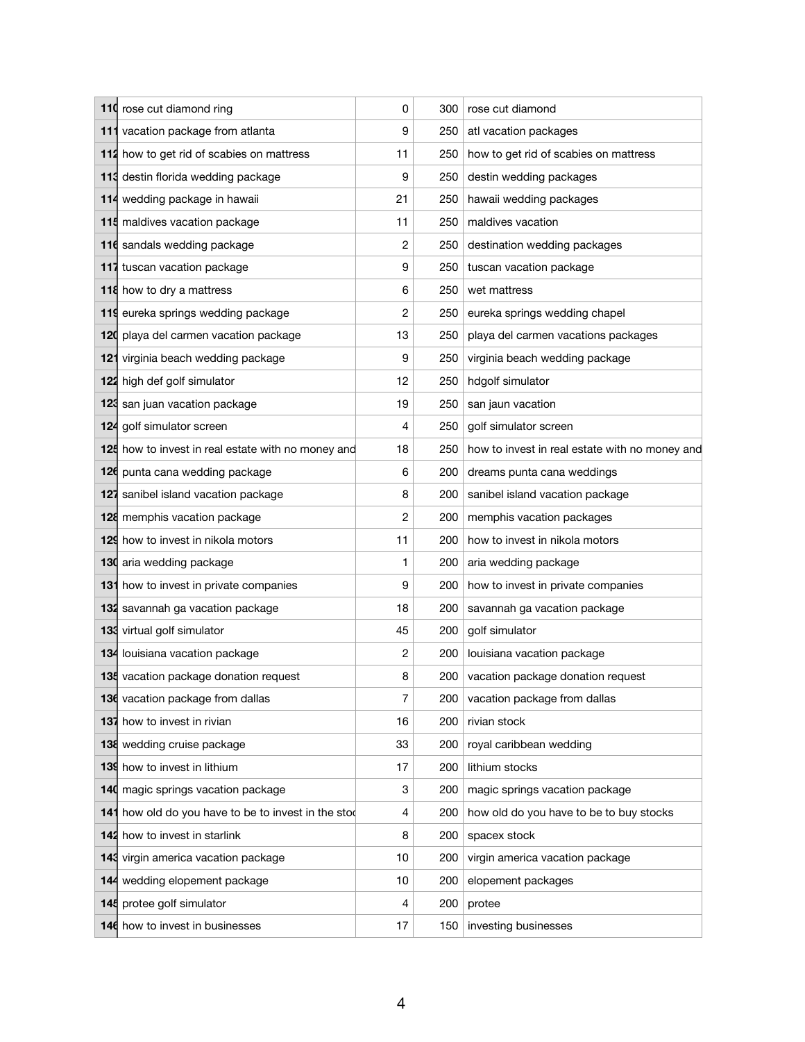| 110 rose cut diamond ring                           | 0              | 300 | rose cut diamond                               |
|-----------------------------------------------------|----------------|-----|------------------------------------------------|
| 111 vacation package from atlanta                   | 9              | 250 | atl vacation packages                          |
| 112 how to get rid of scabies on mattress           | 11             | 250 | how to get rid of scabies on mattress          |
| 113 destin florida wedding package                  | 9              | 250 | destin wedding packages                        |
| 114 wedding package in hawaii                       | 21             | 250 | hawaii wedding packages                        |
| 115 maldives vacation package                       | 11             | 250 | maldives vacation                              |
| 116 sandals wedding package                         | $\overline{c}$ | 250 | destination wedding packages                   |
| 117 tuscan vacation package                         | 9              | 250 | tuscan vacation package                        |
| 118 how to dry a mattress                           | 6              | 250 | wet mattress                                   |
| 119 eureka springs wedding package                  | $\overline{c}$ | 250 | eureka springs wedding chapel                  |
| 120 playa del carmen vacation package               | 13             | 250 | playa del carmen vacations packages            |
| 121 virginia beach wedding package                  | 9              | 250 | virginia beach wedding package                 |
| 122 high def golf simulator                         | 12             | 250 | hdgolf simulator                               |
| 123 san juan vacation package                       | 19             | 250 | san jaun vacation                              |
| 124 golf simulator screen                           | 4              | 250 | golf simulator screen                          |
| 125 how to invest in real estate with no money and  | 18             | 250 | how to invest in real estate with no money and |
| 126 punta cana wedding package                      | 6              | 200 | dreams punta cana weddings                     |
| 127 sanibel island vacation package                 | 8              | 200 | sanibel island vacation package                |
| 128 memphis vacation package                        | $\overline{c}$ | 200 | memphis vacation packages                      |
| 129 how to invest in nikola motors                  | 11             | 200 | how to invest in nikola motors                 |
| 130 aria wedding package                            | 1              | 200 | aria wedding package                           |
| 131 how to invest in private companies              | 9              | 200 | how to invest in private companies             |
| 132 savannah ga vacation package                    | 18             | 200 | savannah ga vacation package                   |
| 133 virtual golf simulator                          | 45             | 200 | golf simulator                                 |
| 134 louisiana vacation package                      | 2              | 200 | louisiana vacation package                     |
| 135 vacation package donation request               | 8              | 200 | vacation package donation request              |
| 136 vacation package from dallas                    | 7              | 200 | vacation package from dallas                   |
| 137 how to invest in rivian                         | 16             | 200 | rivian stock                                   |
| 138 wedding cruise package                          | 33             | 200 | royal caribbean wedding                        |
| 139 how to invest in lithium                        | 17             | 200 | lithium stocks                                 |
| 140 magic springs vacation package                  | 3              | 200 | magic springs vacation package                 |
| 141 how old do you have to be to invest in the stod | 4              | 200 | how old do you have to be to buy stocks        |
| 142 how to invest in starlink                       | 8              | 200 | spacex stock                                   |
| 143 virgin america vacation package                 | 10             | 200 | virgin america vacation package                |
| 144 wedding elopement package                       | 10             | 200 | elopement packages                             |
| 145 protee golf simulator                           | 4              | 200 | protee                                         |
| 146 how to invest in businesses                     | 17             | 150 | investing businesses                           |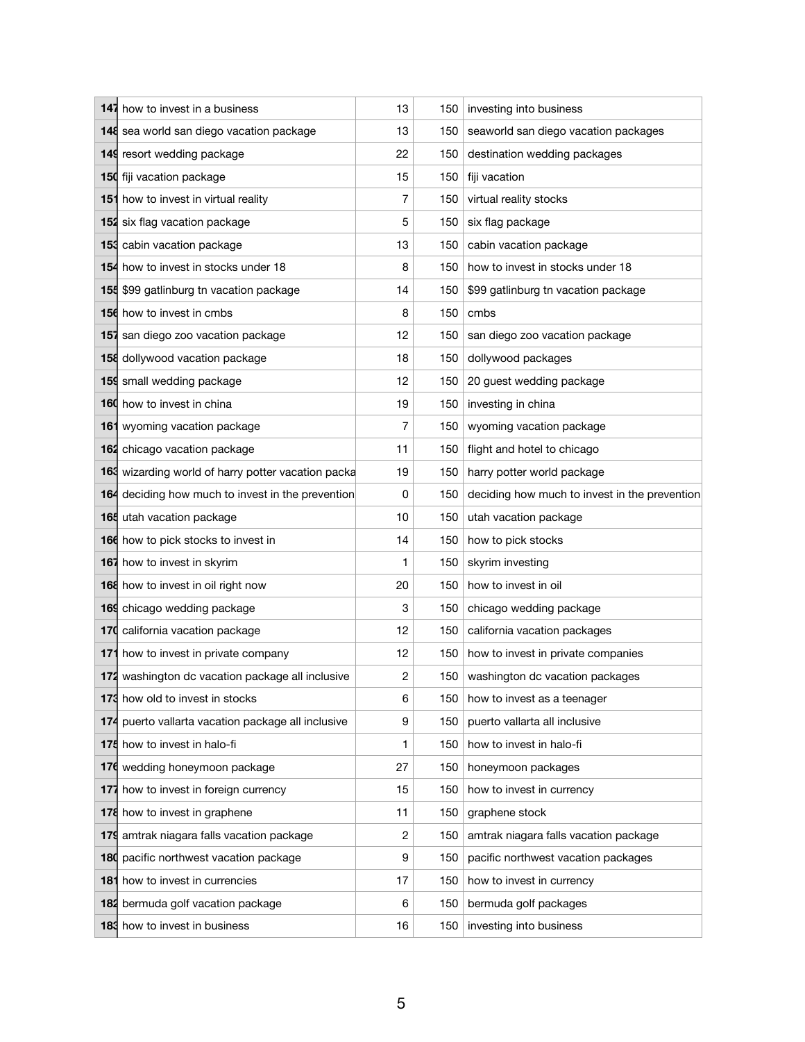| 147 how to invest in a business                    | 13 | 150 <sub>1</sub> | investing into business                       |  |  |
|----------------------------------------------------|----|------------------|-----------------------------------------------|--|--|
| 148 sea world san diego vacation package           | 13 | 150 <sub>1</sub> | seaworld san diego vacation packages          |  |  |
| 149 resort wedding package                         | 22 | 150              | destination wedding packages                  |  |  |
| 150 fiji vacation package                          | 15 |                  | 150 fiji vacation                             |  |  |
| 151 how to invest in virtual reality               | 7  | 150              | virtual reality stocks                        |  |  |
| 152 six flag vacation package                      | 5  | 150              | six flag package                              |  |  |
| 153 cabin vacation package                         | 13 | 150 <sub>1</sub> | cabin vacation package                        |  |  |
| 154 how to invest in stocks under 18               | 8  | 150              | how to invest in stocks under 18              |  |  |
| 155 \$99 gatlinburg tn vacation package            | 14 | 150              | \$99 gatlinburg tn vacation package           |  |  |
| 156 how to invest in cmbs                          | 8  |                  | $150$ cmbs                                    |  |  |
| 157 san diego zoo vacation package                 | 12 | 150              | san diego zoo vacation package                |  |  |
| 158 dollywood vacation package                     | 18 | 150              | dollywood packages                            |  |  |
| 159 small wedding package                          | 12 | 150 <sub>1</sub> | 20 guest wedding package                      |  |  |
| 160 how to invest in china                         | 19 | 150              | investing in china                            |  |  |
| 161 wyoming vacation package                       | 7  | 150              | wyoming vacation package                      |  |  |
| 162 chicago vacation package                       | 11 |                  | 150 flight and hotel to chicago               |  |  |
| 163 wizarding world of harry potter vacation packa | 19 | 150              | harry potter world package                    |  |  |
| 164 deciding how much to invest in the prevention  | 0  | 150              | deciding how much to invest in the prevention |  |  |
| 165 utah vacation package                          | 10 | 150              | utah vacation package                         |  |  |
| 166 how to pick stocks to invest in                | 14 | 150              | how to pick stocks                            |  |  |
| 167 how to invest in skyrim                        | 1  | 150              | skyrim investing                              |  |  |
| 168 how to invest in oil right now                 | 20 | 150              | how to invest in oil                          |  |  |
| 169 chicago wedding package                        | 3  |                  | 150 chicago wedding package                   |  |  |
| 170 california vacation package                    | 12 | 150              | california vacation packages                  |  |  |
| 171 how to invest in private company               | 12 | 150              | how to invest in private companies            |  |  |
| 172 washington dc vacation package all inclusive   | 2  | 150              | washington dc vacation packages               |  |  |
| 173 how old to invest in stocks                    | 6  | 150              | how to invest as a teenager                   |  |  |
| 174 puerto vallarta vacation package all inclusive | 9  | 150              | puerto vallarta all inclusive                 |  |  |
| 175 how to invest in halo-fi                       | 1  | 150              | how to invest in halo-fi                      |  |  |
| 176 wedding honeymoon package                      | 27 | 150              | honeymoon packages                            |  |  |
| 177 how to invest in foreign currency              | 15 | 150              | how to invest in currency                     |  |  |
| 178 how to invest in graphene                      | 11 | 150              | graphene stock                                |  |  |
| 179 amtrak niagara falls vacation package          | 2  | 150              | amtrak niagara falls vacation package         |  |  |
| 180 pacific northwest vacation package             | 9  | 150              | pacific northwest vacation packages           |  |  |
| <b>181</b> how to invest in currencies             | 17 | 150              | how to invest in currency                     |  |  |
| 182 bermuda golf vacation package                  | 6  | 150              | bermuda golf packages                         |  |  |
| 183 how to invest in business                      | 16 | 150              | investing into business                       |  |  |